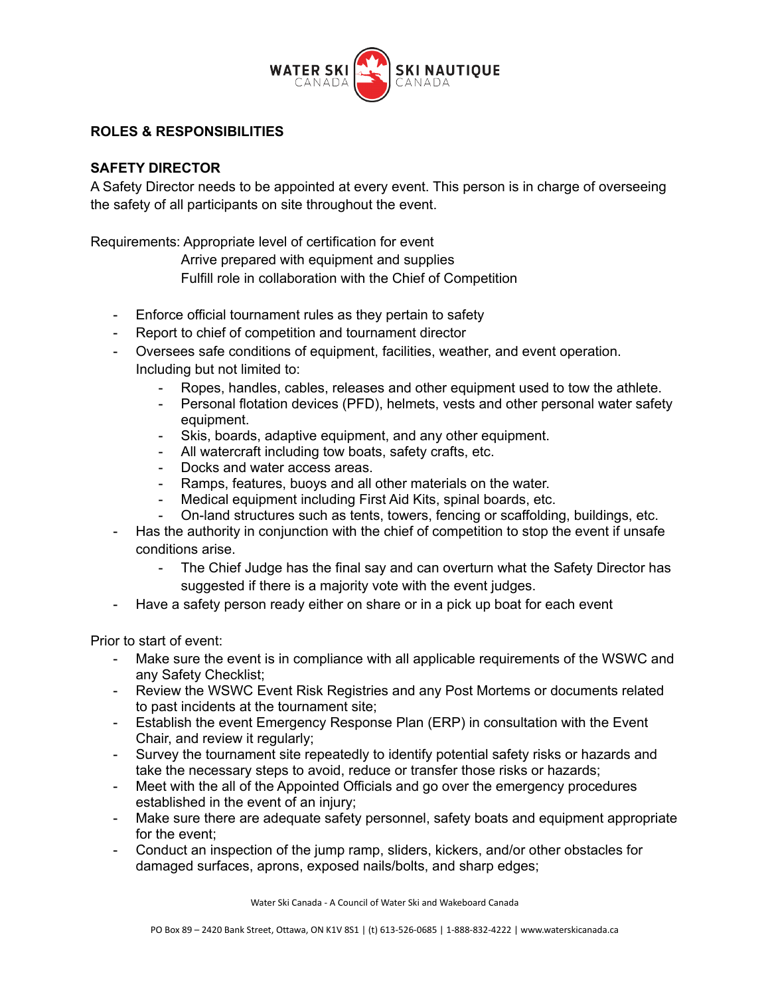

## **ROLES & RESPONSIBILITIES**

## **SAFETY DIRECTOR**

A Safety Director needs to be appointed at every event. This person is in charge of overseeing the safety of all participants on site throughout the event.

Requirements: Appropriate level of certification for event

Arrive prepared with equipment and supplies

Fulfill role in collaboration with the Chief of Competition

- Enforce official tournament rules as they pertain to safety
- Report to chief of competition and tournament director
- Oversees safe conditions of equipment, facilities, weather, and event operation. Including but not limited to:
	- Ropes, handles, cables, releases and other equipment used to tow the athlete.
	- Personal flotation devices (PFD), helmets, vests and other personal water safety equipment.
	- Skis, boards, adaptive equipment, and any other equipment.
	- All watercraft including tow boats, safety crafts, etc.
	- Docks and water access areas.
	- Ramps, features, buoys and all other materials on the water.
	- Medical equipment including First Aid Kits, spinal boards, etc.
	- On-land structures such as tents, towers, fencing or scaffolding, buildings, etc.
- Has the authority in conjunction with the chief of competition to stop the event if unsafe conditions arise.
	- The Chief Judge has the final say and can overturn what the Safety Director has suggested if there is a majority vote with the event judges.
- Have a safety person ready either on share or in a pick up boat for each event

Prior to start of event:

- Make sure the event is in compliance with all applicable requirements of the WSWC and any Safety Checklist;
- Review the WSWC Event Risk Registries and any Post Mortems or documents related to past incidents at the tournament site;
- Establish the event Emergency Response Plan (ERP) in consultation with the Event Chair, and review it regularly;
- Survey the tournament site repeatedly to identify potential safety risks or hazards and take the necessary steps to avoid, reduce or transfer those risks or hazards;
- Meet with the all of the Appointed Officials and go over the emergency procedures established in the event of an injury;
- Make sure there are adequate safety personnel, safety boats and equipment appropriate for the event;
- Conduct an inspection of the jump ramp, sliders, kickers, and/or other obstacles for damaged surfaces, aprons, exposed nails/bolts, and sharp edges;

Water Ski Canada - A Council of Water Ski and Wakeboard Canada